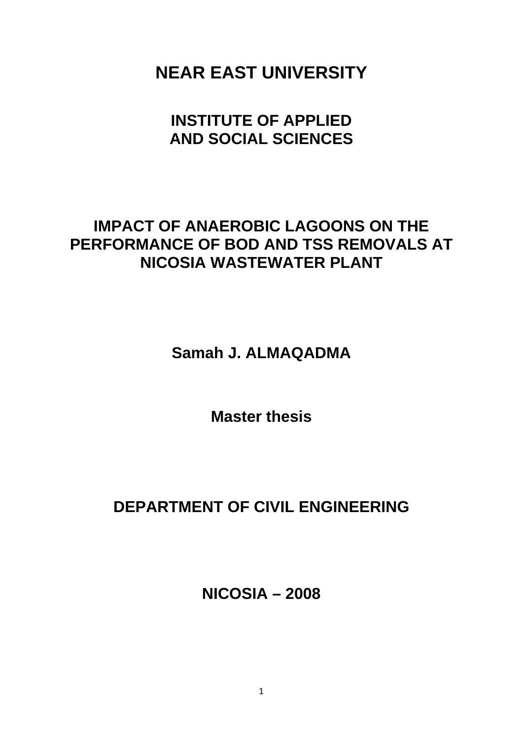**NEAR EAST UNIVERSITY** 

# **INSTITUTE OF APPLIED AND SOCIAL SCIENCES**

## **IMPACT OF ANAEROBIC LAGOONS ON THE PERFORMANCE OF BOD AND TSS REMOVALS AT NICOSIA WASTEWATER PLANT**

**Samah J. ALMAQADMA** 

**Master thesis** 

# **DEPARTMENT OF CIVIL ENGINEERING**

**NICOSIA – 2008**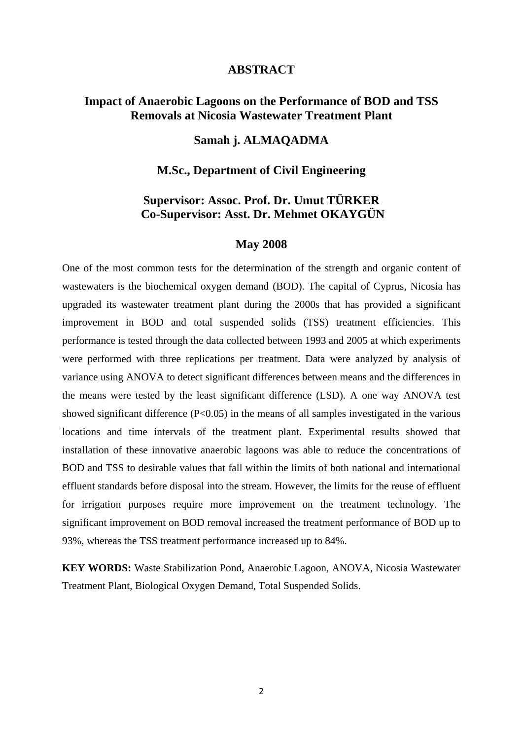#### **ABSTRACT**

## <span id="page-1-0"></span>**Impact of Anaerobic Lagoons on the Performance of BOD and TSS Removals at Nicosia Wastewater Treatment Plant**

## **Samah j. ALMAQADMA**

### **M.Sc., Department of Civil Engineering**

## **Supervisor: Assoc. Prof. Dr. Umut TÜRKER Co-Supervisor: Asst. Dr. Mehmet OKAYGÜN**

#### **May 2008**

One of the most common tests for the determination of the strength and organic content of wastewaters is the biochemical oxygen demand (BOD). The capital of Cyprus, Nicosia has upgraded its wastewater treatment plant during the 2000s that has provided a significant improvement in BOD and total suspended solids (TSS) treatment efficiencies. This performance is tested through the data collected between 1993 and 2005 at which experiments were performed with three replications per treatment. Data were analyzed by analysis of variance using ANOVA to detect significant differences between means and the differences in the means were tested by the least significant difference (LSD). A one way ANOVA test showed significant difference  $(P<0.05)$  in the means of all samples investigated in the various locations and time intervals of the treatment plant. Experimental results showed that installation of these innovative anaerobic lagoons was able to reduce the concentrations of BOD and TSS to desirable values that fall within the limits of both national and international effluent standards before disposal into the stream. However, the limits for the reuse of effluent for irrigation purposes require more improvement on the treatment technology. The significant improvement on BOD removal increased the treatment performance of BOD up to 93%, whereas the TSS treatment performance increased up to 84%.

**KEY WORDS:** Waste Stabilization Pond, Anaerobic Lagoon, ANOVA, Nicosia Wastewater Treatment Plant, Biological Oxygen Demand, Total Suspended Solids.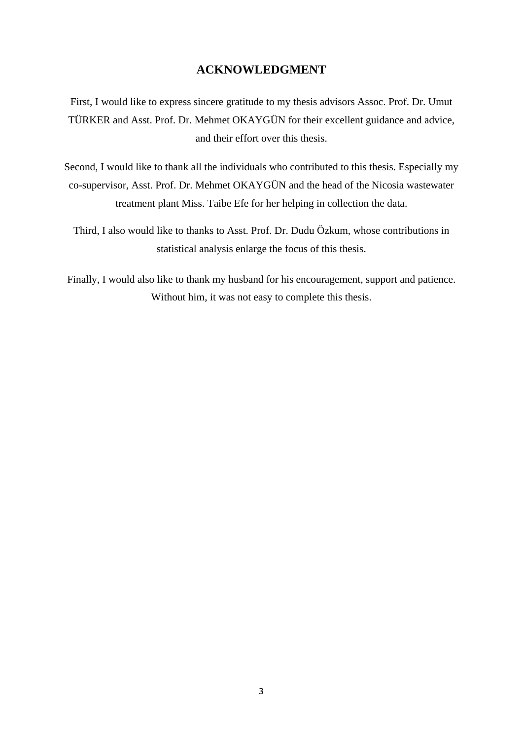### **ACKNOWLEDGMENT**

<span id="page-2-0"></span>First, I would like to express sincere gratitude to my thesis advisors Assoc. Prof. Dr. Umut TÜRKER and Asst. Prof. Dr. Mehmet OKAYGÜN for their excellent guidance and advice, and their effort over this thesis.

Second, I would like to thank all the individuals who contributed to this thesis. Especially my co-supervisor, Asst. Prof. Dr. Mehmet OKAYGÜN and the head of the Nicosia wastewater treatment plant Miss. Taibe Efe for her helping in collection the data.

Third, I also would like to thanks to Asst. Prof. Dr. Dudu Özkum, whose contributions in statistical analysis enlarge the focus of this thesis.

Finally, I would also like to thank my husband for his encouragement, support and patience. Without him, it was not easy to complete this thesis.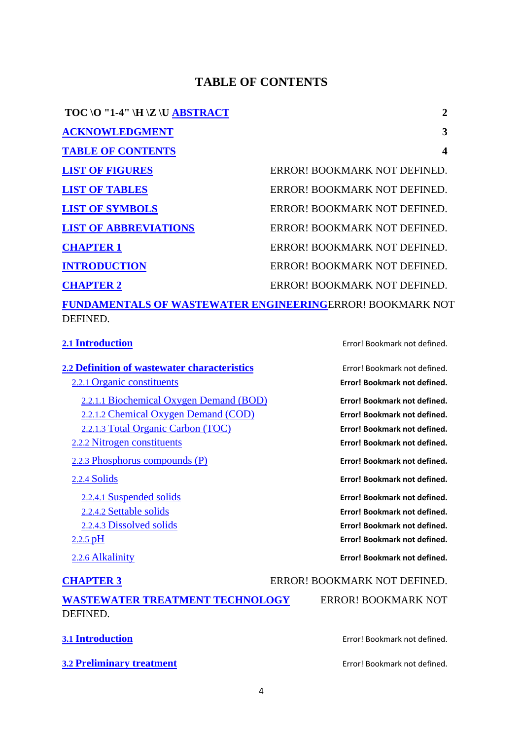## **TABLE OF CONTENTS**

<span id="page-3-0"></span>

| TOC \0 "1-4" \H \Z \U $\overline{ABSTRACT}$                           | 2                            |
|-----------------------------------------------------------------------|------------------------------|
| <b>ACKNOWLEDGMENT</b>                                                 | 3                            |
| <b>TABLE OF CONTENTS</b>                                              | 4                            |
| <b>LIST OF FIGURES</b>                                                | ERROR! BOOKMARK NOT DEFINED. |
| <b>LIST OF TABLES</b>                                                 | ERROR! BOOKMARK NOT DEFINED. |
| <b>LIST OF SYMBOLS</b>                                                | ERROR! BOOKMARK NOT DEFINED. |
| <b>LIST OF ABBREVIATIONS</b>                                          | ERROR! BOOKMARK NOT DEFINED. |
| <b>CHAPTER 1</b>                                                      | ERROR! BOOKMARK NOT DEFINED. |
| <b>INTRODUCTION</b>                                                   | ERROR! BOOKMARK NOT DEFINED. |
| <b>CHAPTER 2</b>                                                      | ERROR! BOOKMARK NOT DEFINED. |
| FUNDAMENTALS OF WASTEWATER ENGINEERINGERROR! BOOKMARK NOT<br>DEFINED. |                              |

**2.2 Definition of wastewater characteristics** Error! Bookmark not defined. 2.2.1 Organic constituents **Error! Bookmark not defined.** 2.2.1.1 Biochemical Oxygen Demand (BOD) **Error! Bookmark not defined.** 2.2.1.2 Chemical Oxygen Demand (COD) **Error! Bookmark not defined.** 2.2.1.3 Total Organic Carbon (TOC) **Error! Bookmark not defined.** 2.2.2 Nitrogen constituents **Error! Bookmark not defined.** 2.2.3 Phosphorus compounds (P) **Error! Bookmark not defined.** 2.2.4 Solids **Error! Bookmark not defined.** 2.2.4.1 Suspended solids **Error! Bookmark not defined.** 2.2.4.2 Settable solids **Error! Bookmark not defined.** 2.2.4.3 Dissolved solids **Error! Bookmark not defined.**

**2.1 Introduction** Error! Bookmark not defined.

2.2.5 pH **Error! Bookmark not defined.**

2.2.6 Alkalinity **Error! Bookmark not defined.**

**CHAPTER 3** ERROR! BOOKMARK NOT DEFINED.

| <b>WASTEWATER TREATMENT TECHNOLOGY</b> | <b>ERROR! BOOKMARK NOT</b> |
|----------------------------------------|----------------------------|
| DEFINED.                               |                            |

```
3.2 Preliminary treatment Error! Bookmark not defined.
```
**3.1 Introduction** Error! Bookmark not defined.